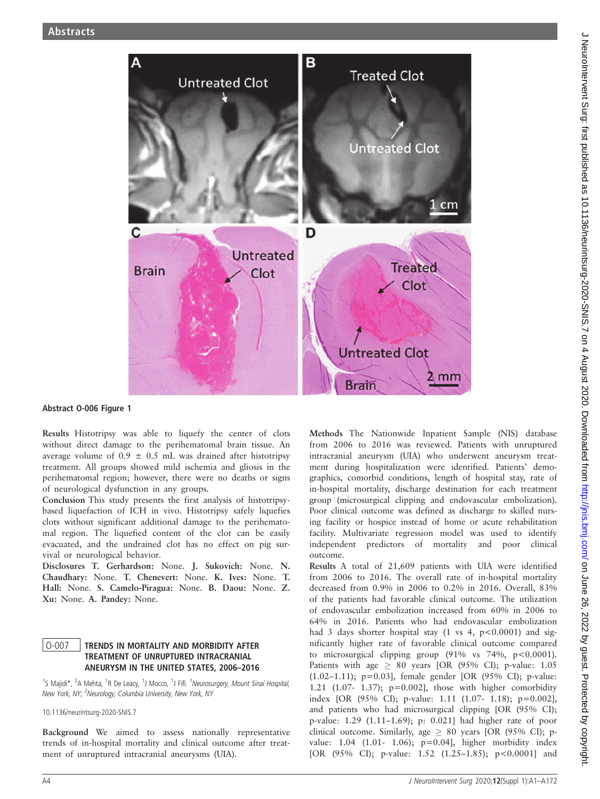

### Abstract O-006 Figure 1

Results Histotripsy was able to liquefy the center of clots without direct damage to the perihematomal brain tissue. An average volume of  $0.9 \pm 0.5$  mL was drained after histotripsy treatment. All groups showed mild ischemia and gliosis in the perihematomal region; however, there were no deaths or signs of neurological dysfunction in any groups.

Conclusion This study presents the first analysis of histotripsybased liquefaction of ICH in vivo. Histotripsy safely liquefies clots without significant additional damage to the perihematomal region. The liquefied content of the clot can be easily evacuated, and the undrained clot has no effect on pig survival or neurological behavior.

Disclosures T. Gerhardson: None. J. Sukovich: None. N. Chaudhary: None. T. Chenevert: None. K. Ives: None. T. Hall: None. S. Camelo-Piragua: None. B. Daou: None. Z. Xu: None. A. Pandey: None.

# O-007 | TRENDS IN MORTALITY AND MORBIDITY AFTER TREATMENT OF UNRUPTURED INTRACRANIAL ANEURYSM IN THE UNITED STATES, 2006–2016

<sup>1</sup>S Majidi\*, <sup>2</sup>A Mehta, <sup>1</sup>R De Leacy, <sup>1</sup>J Mocco, <sup>1</sup>J Fifi. <sup>1</sup>Neurosurgery, Mount Sinai Hospital, New York, NY; <sup>2</sup>Neurology, Columbia University, New York, NY

10.1136/neurintsurg-2020-SNIS.7

Background We aimed to assess nationally representative trends of in-hospital mortality and clinical outcome after treatment of unruptured intracranial aneurysms (UIA).

Methods The Nationwide Inpatient Sample (NIS) database from 2006 to 2016 was reviewed. Patients with unruptured intracranial aneurysm (UIA) who underwent aneurysm treatment during hospitalization were identified. Patients' demographics, comorbid conditions, length of hospital stay, rate of in-hospital mortality, discharge destination for each treatment group (microsurgical clipping and endovascular embolization). Poor clinical outcome was defined as discharge to skilled nursing facility or hospice instead of home or acute rehabilitation facility. Multivariate regression model was used to identify independent predictors of mortality and poor clinical outcome.

Results A total of 21,609 patients with UIA were identified from 2006 to 2016. The overall rate of in-hospital mortality decreased from 0.9% in 2006 to 0.2% in 2016. Overall, 83% of the patients had favorable clinical outcome. The utilization of endovascular embolization increased from 60% in 2006 to 64% in 2016. Patients who had endovascular embolization had 3 days shorter hospital stay (1 vs 4,  $p < 0.0001$ ) and significantly higher rate of favorable clinical outcome compared to microsurgical clipping group  $(91\% \text{ vs } 74\%, \text{ p} < 0.0001).$ Patients with age  $\geq 80$  years [OR (95% CI); p-value: 1.05 (1.02–1.11); p=0.03], female gender [OR (95% CI); p-value: 1.21 (1.07- 1.37); p=0.002], those with higher comorbidity index [OR (95% CI); p-value: 1.11 (1.07- 1.18); p=0.002], and patients who had microsurgical clipping [OR (95% CI); p-value: 1.29 (1.11–1.69); p: 0.021] had higher rate of poor clinical outcome. Similarly, age  $\geq 80$  years [OR (95% CI); pvalue: 1.04 (1.01- 1.06); p=0.04], higher morbidity index [OR (95% CI); p-value: 1.52 (1.25-1.85); p<0.0001] and